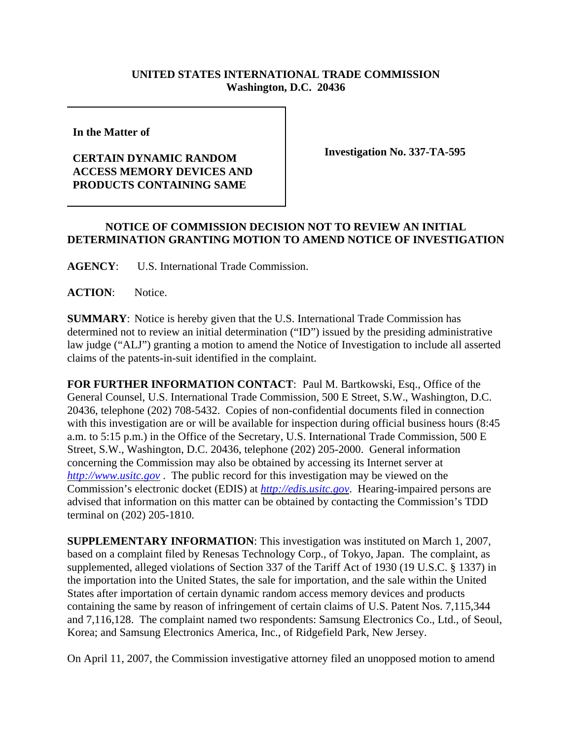## **UNITED STATES INTERNATIONAL TRADE COMMISSION Washington, D.C. 20436**

**In the Matter of** 

## **CERTAIN DYNAMIC RANDOM ACCESS MEMORY DEVICES AND PRODUCTS CONTAINING SAME**

**Investigation No. 337-TA-595**

## **NOTICE OF COMMISSION DECISION NOT TO REVIEW AN INITIAL DETERMINATION GRANTING MOTION TO AMEND NOTICE OF INVESTIGATION**

**AGENCY**: U.S. International Trade Commission.

ACTION: Notice.

**SUMMARY**: Notice is hereby given that the U.S. International Trade Commission has determined not to review an initial determination ("ID") issued by the presiding administrative law judge ("ALJ") granting a motion to amend the Notice of Investigation to include all asserted claims of the patents-in-suit identified in the complaint.

**FOR FURTHER INFORMATION CONTACT**: Paul M. Bartkowski, Esq., Office of the General Counsel, U.S. International Trade Commission, 500 E Street, S.W., Washington, D.C. 20436, telephone (202) 708-5432. Copies of non-confidential documents filed in connection with this investigation are or will be available for inspection during official business hours (8:45 a.m. to 5:15 p.m.) in the Office of the Secretary, U.S. International Trade Commission, 500 E Street, S.W., Washington, D.C. 20436, telephone (202) 205-2000. General information concerning the Commission may also be obtained by accessing its Internet server at *http://www.usitc.gov* . The public record for this investigation may be viewed on the Commission's electronic docket (EDIS) at *http://edis.usitc.gov*. Hearing-impaired persons are advised that information on this matter can be obtained by contacting the Commission's TDD terminal on (202) 205-1810.

**SUPPLEMENTARY INFORMATION**: This investigation was instituted on March 1, 2007, based on a complaint filed by Renesas Technology Corp., of Tokyo, Japan. The complaint, as supplemented, alleged violations of Section 337 of the Tariff Act of 1930 (19 U.S.C. § 1337) in the importation into the United States, the sale for importation, and the sale within the United States after importation of certain dynamic random access memory devices and products containing the same by reason of infringement of certain claims of U.S. Patent Nos. 7,115,344 and 7,116,128. The complaint named two respondents: Samsung Electronics Co., Ltd., of Seoul, Korea; and Samsung Electronics America, Inc., of Ridgefield Park, New Jersey.

On April 11, 2007, the Commission investigative attorney filed an unopposed motion to amend